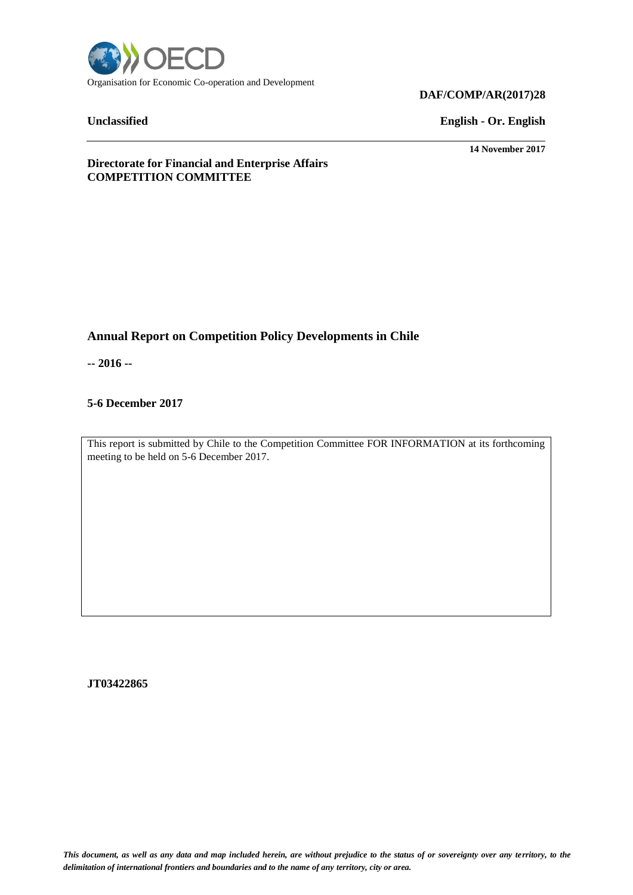

# **DAF/COMP/AR(2017)28**

**Unclassified English - Or. English**

**14 November 2017**

**Directorate for Financial and Enterprise Affairs COMPETITION COMMITTEE**

# **Annual Report on Competition Policy Developments in Chile**

**-- 2016 --**

# **5-6 December 2017**

This report is submitted by Chile to the Competition Committee FOR INFORMATION at its forthcoming meeting to be held on 5-6 December 2017.

**JT03422865**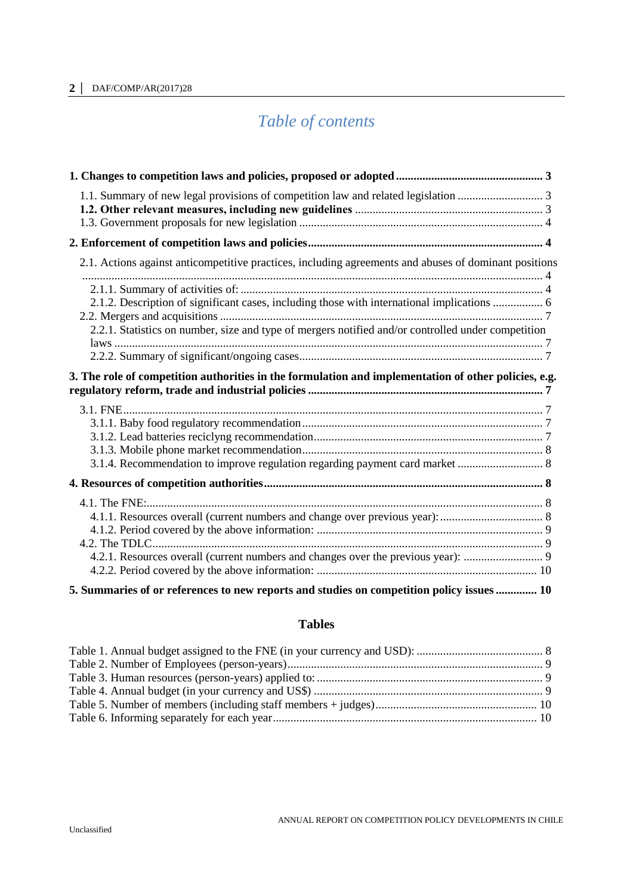# **2 │** DAF/COMP/AR(2017)28

# *Table of contents*

| 2.1. Actions against anticompetitive practices, including agreements and abuses of dominant positions                                                                                                                                                                                                     |
|-----------------------------------------------------------------------------------------------------------------------------------------------------------------------------------------------------------------------------------------------------------------------------------------------------------|
| 2.1.2. Description of significant cases, including those with international implications  6<br>2.2.1. Statistics on number, size and type of mergers notified and/or controlled under competition<br>3. The role of competition authorities in the formulation and implementation of other policies, e.g. |
|                                                                                                                                                                                                                                                                                                           |
| 3.1.4. Recommendation to improve regulation regarding payment card market  8                                                                                                                                                                                                                              |
|                                                                                                                                                                                                                                                                                                           |
| 4.2.1. Resources overall (current numbers and changes over the previous year):  9                                                                                                                                                                                                                         |
| 5. Summaries of or references to new reports and studies on competition policy issues  10                                                                                                                                                                                                                 |

# **Tables**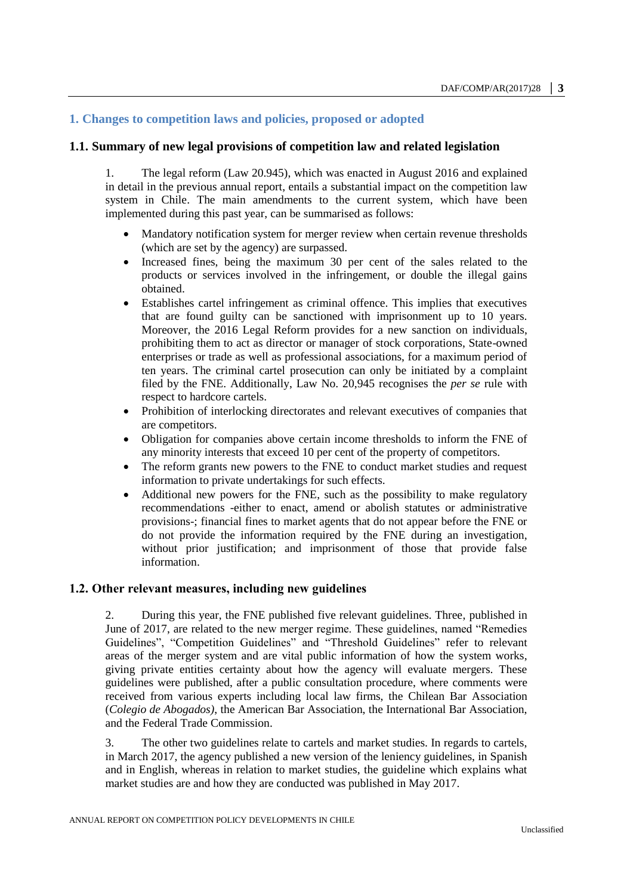# <span id="page-2-0"></span>**1. Changes to competition laws and policies, proposed or adopted**

#### <span id="page-2-1"></span>**1.1. Summary of new legal provisions of competition law and related legislation**

1. The legal reform (Law 20.945), which was enacted in August 2016 and explained in detail in the previous annual report, entails a substantial impact on the competition law system in Chile. The main amendments to the current system, which have been implemented during this past year, can be summarised as follows:

- Mandatory notification system for merger review when certain revenue thresholds (which are set by the agency) are surpassed.
- Increased fines, being the maximum 30 per cent of the sales related to the products or services involved in the infringement, or double the illegal gains obtained.
- Establishes cartel infringement as criminal offence. This implies that executives that are found guilty can be sanctioned with imprisonment up to 10 years. Moreover, the 2016 Legal Reform provides for a new sanction on individuals, prohibiting them to act as director or manager of stock corporations, State-owned enterprises or trade as well as professional associations, for a maximum period of ten years. The criminal cartel prosecution can only be initiated by a complaint filed by the FNE. Additionally, Law No. 20,945 recognises the *per se* rule with respect to hardcore cartels.
- Prohibition of interlocking directorates and relevant executives of companies that are competitors.
- Obligation for companies above certain income thresholds to inform the FNE of any minority interests that exceed 10 per cent of the property of competitors.
- The reform grants new powers to the FNE to conduct market studies and request information to private undertakings for such effects.
- Additional new powers for the FNE, such as the possibility to make regulatory recommendations -either to enact, amend or abolish statutes or administrative provisions-; financial fines to market agents that do not appear before the FNE or do not provide the information required by the FNE during an investigation, without prior justification; and imprisonment of those that provide false information.

#### <span id="page-2-2"></span>**1.2. Other relevant measures, including new guidelines**

2. During this year, the FNE published five relevant guidelines. Three, published in June of 2017, are related to the new merger regime. These guidelines, named "Remedies Guidelines", "Competition Guidelines" and "Threshold Guidelines" refer to relevant areas of the merger system and are vital public information of how the system works, giving private entities certainty about how the agency will evaluate mergers. These guidelines were published, after a public consultation procedure, where comments were received from various experts including local law firms, the Chilean Bar Association (*Colegio de Abogados)*, the American Bar Association, the International Bar Association, and the Federal Trade Commission.

3. The other two guidelines relate to cartels and market studies. In regards to cartels, in March 2017, the agency published a new version of the leniency guidelines, in Spanish and in English, whereas in relation to market studies, the guideline which explains what market studies are and how they are conducted was published in May 2017.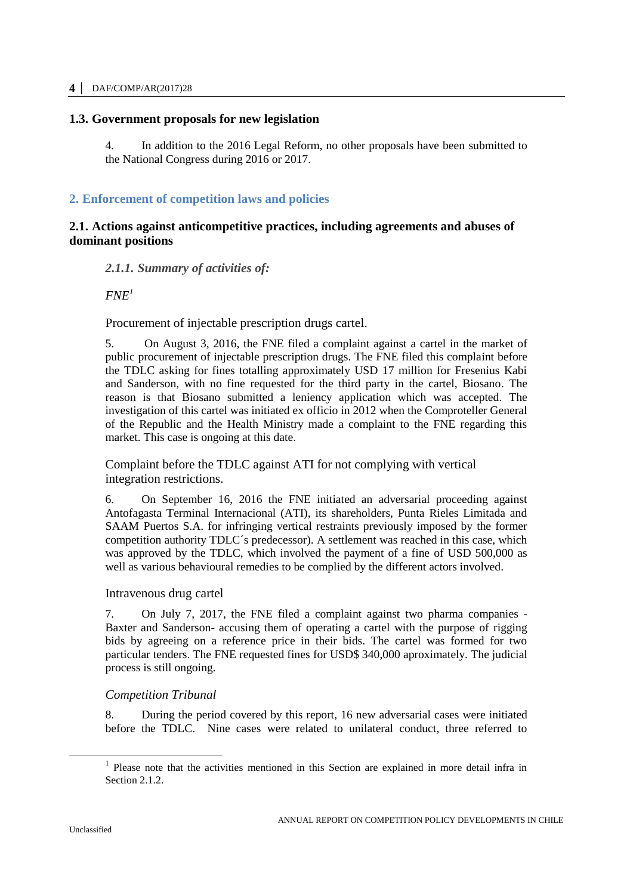### **4 │** DAF/COMP/AR(2017)28

# <span id="page-3-0"></span>**1.3. Government proposals for new legislation**

4. In addition to the 2016 Legal Reform, no other proposals have been submitted to the National Congress during 2016 or 2017.

# <span id="page-3-1"></span>**2. Enforcement of competition laws and policies**

# <span id="page-3-2"></span>**2.1. Actions against anticompetitive practices, including agreements and abuses of dominant positions**

# <span id="page-3-3"></span>*2.1.1. Summary of activities of:*

 $FNE<sup>1</sup>$ 

Procurement of injectable prescription drugs cartel.

5. On August 3, 2016, the FNE filed a complaint against a cartel in the market of public procurement of injectable prescription drugs. The FNE filed this complaint before the TDLC asking for fines totalling approximately USD 17 million for Fresenius Kabi and Sanderson, with no fine requested for the third party in the cartel, Biosano. The reason is that Biosano submitted a leniency application which was accepted. The investigation of this cartel was initiated ex officio in 2012 when the Comproteller General of the Republic and the Health Ministry made a complaint to the FNE regarding this market. This case is ongoing at this date.

Complaint before the TDLC against ATI for not complying with vertical integration restrictions.

6. On September 16, 2016 the FNE initiated an adversarial proceeding against Antofagasta Terminal Internacional (ATI), its shareholders, Punta Rieles Limitada and SAAM Puertos S.A. for infringing vertical restraints previously imposed by the former competition authority TDLC´s predecessor). A settlement was reached in this case, which was approved by the TDLC, which involved the payment of a fine of USD 500,000 as well as various behavioural remedies to be complied by the different actors involved.

### Intravenous drug cartel

7. On July 7, 2017, the FNE filed a complaint against two pharma companies - Baxter and Sanderson- accusing them of operating a cartel with the purpose of rigging bids by agreeing on a reference price in their bids. The cartel was formed for two particular tenders. The FNE requested fines for USD\$ 340,000 aproximately. The judicial process is still ongoing.

# *Competition Tribunal*

8. During the period covered by this report, 16 new adversarial cases were initiated before the TDLC. Nine cases were related to unilateral conduct, three referred to

<sup>&</sup>lt;sup>1</sup> Please note that the activities mentioned in this Section are explained in more detail infra in Section 2.1.2.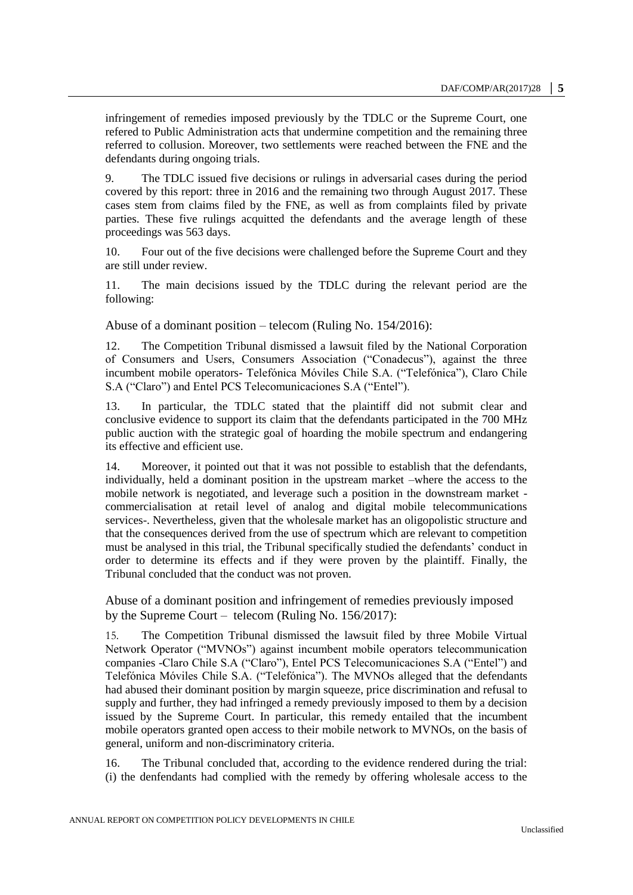infringement of remedies imposed previously by the TDLC or the Supreme Court, one refered to Public Administration acts that undermine competition and the remaining three referred to collusion. Moreover, two settlements were reached between the FNE and the defendants during ongoing trials.

9. The TDLC issued five decisions or rulings in adversarial cases during the period covered by this report: three in 2016 and the remaining two through August 2017. These cases stem from claims filed by the FNE, as well as from complaints filed by private parties. These five rulings acquitted the defendants and the average length of these proceedings was 563 days.

10. Four out of the five decisions were challenged before the Supreme Court and they are still under review.

11. The main decisions issued by the TDLC during the relevant period are the following:

Abuse of a dominant position – telecom (Ruling No. 154/2016):

12. The Competition Tribunal dismissed a lawsuit filed by the National Corporation of Consumers and Users, Consumers Association ("Conadecus"), against the three incumbent mobile operators- Telefónica Móviles Chile S.A. ("Telefónica"), Claro Chile S.A ("Claro") and Entel PCS Telecomunicaciones S.A ("Entel").

13. In particular, the TDLC stated that the plaintiff did not submit clear and conclusive evidence to support its claim that the defendants participated in the 700 MHz public auction with the strategic goal of hoarding the mobile spectrum and endangering its effective and efficient use.

14. Moreover, it pointed out that it was not possible to establish that the defendants, individually, held a dominant position in the upstream market –where the access to the mobile network is negotiated, and leverage such a position in the downstream market commercialisation at retail level of analog and digital mobile telecommunications services-. Nevertheless, given that the wholesale market has an oligopolistic structure and that the consequences derived from the use of spectrum which are relevant to competition must be analysed in this trial, the Tribunal specifically studied the defendants' conduct in order to determine its effects and if they were proven by the plaintiff. Finally, the Tribunal concluded that the conduct was not proven.

Abuse of a dominant position and infringement of remedies previously imposed by the Supreme Court – telecom (Ruling No. 156/2017):

15. The Competition Tribunal dismissed the lawsuit filed by three Mobile Virtual Network Operator ("MVNOs") against incumbent mobile operators telecommunication companies -Claro Chile S.A ("Claro"), Entel PCS Telecomunicaciones S.A ("Entel") and Telefónica Móviles Chile S.A. ("Telefónica"). The MVNOs alleged that the defendants had abused their dominant position by margin squeeze, price discrimination and refusal to supply and further, they had infringed a remedy previously imposed to them by a decision issued by the Supreme Court. In particular, this remedy entailed that the incumbent mobile operators granted open access to their mobile network to MVNOs, on the basis of general, uniform and non-discriminatory criteria.

16. The Tribunal concluded that, according to the evidence rendered during the trial: (i) the denfendants had complied with the remedy by offering wholesale access to the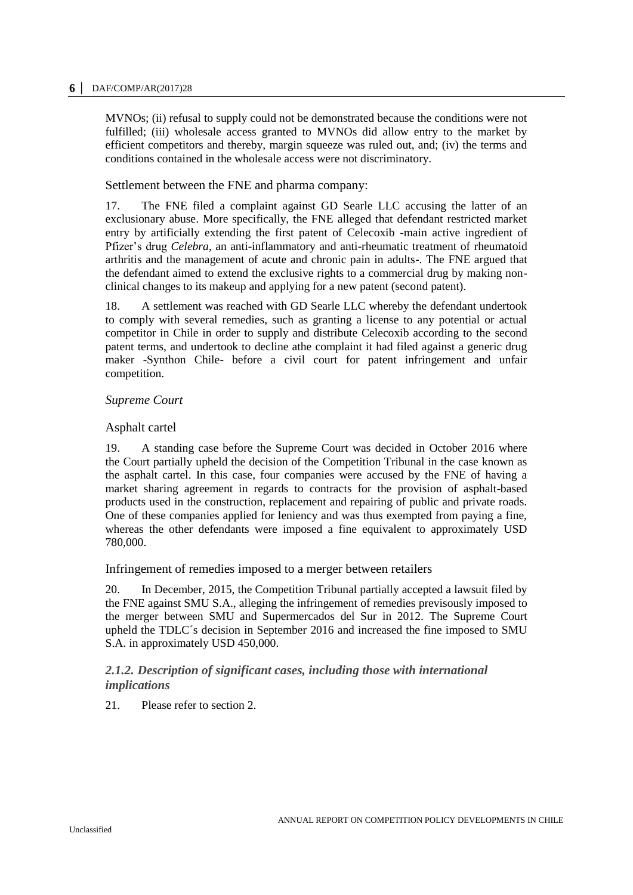MVNOs; (ii) refusal to supply could not be demonstrated because the conditions were not fulfilled; (iii) wholesale access granted to MVNOs did allow entry to the market by efficient competitors and thereby, margin squeeze was ruled out, and; (iv) the terms and conditions contained in the wholesale access were not discriminatory.

Settlement between the FNE and pharma company:

17. The FNE filed a complaint against GD Searle LLC accusing the latter of an exclusionary abuse. More specifically, the FNE alleged that defendant restricted market entry by artificially extending the first patent of Celecoxib -main active ingredient of Pfizer's drug *Celebra*, an anti-inflammatory and anti-rheumatic treatment of rheumatoid arthritis and the management of acute and chronic pain in adults-. The FNE argued that the defendant aimed to extend the exclusive rights to a commercial drug by making nonclinical changes to its makeup and applying for a new patent (second patent).

18. A settlement was reached with GD Searle LLC whereby the defendant undertook to comply with several remedies, such as granting a license to any potential or actual competitor in Chile in order to supply and distribute Celecoxib according to the second patent terms, and undertook to decline athe complaint it had filed against a generic drug maker -Synthon Chile- before a civil court for patent infringement and unfair competition.

# *Supreme Court*

# Asphalt cartel

19. A standing case before the Supreme Court was decided in October 2016 where the Court partially upheld the decision of the Competition Tribunal in the case known as the asphalt cartel. In this case, four companies were accused by the FNE of having a market sharing agreement in regards to contracts for the provision of asphalt-based products used in the construction, replacement and repairing of public and private roads. One of these companies applied for leniency and was thus exempted from paying a fine, whereas the other defendants were imposed a fine equivalent to approximately USD 780,000.

Infringement of remedies imposed to a merger between retailers

20. In December, 2015, the Competition Tribunal partially accepted a lawsuit filed by the FNE against SMU S.A., alleging the infringement of remedies previsously imposed to the merger between SMU and Supermercados del Sur in 2012. The Supreme Court upheld the TDLC´s decision in September 2016 and increased the fine imposed to SMU S.A. in approximately USD 450,000.

# <span id="page-5-0"></span>*2.1.2. Description of significant cases, including those with international implications*

21. Please refer to section 2.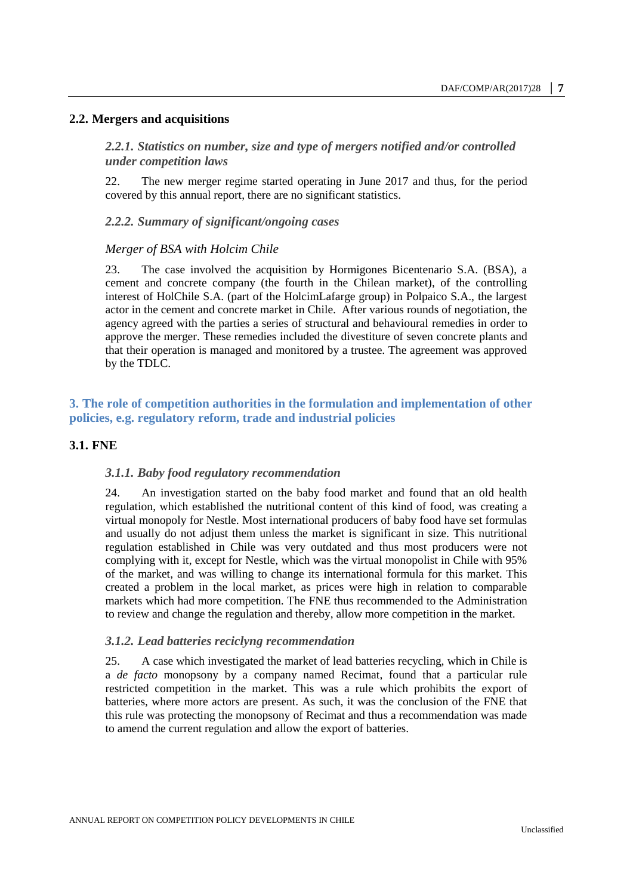#### <span id="page-6-1"></span><span id="page-6-0"></span>**2.2. Mergers and acquisitions**

*2.2.1. Statistics on number, size and type of mergers notified and/or controlled under competition laws* 

22. The new merger regime started operating in June 2017 and thus, for the period covered by this annual report, there are no significant statistics.

<span id="page-6-2"></span>*2.2.2. Summary of significant/ongoing cases* 

#### *Merger of BSA with Holcim Chile*

23. The case involved the acquisition by Hormigones Bicentenario S.A. (BSA), a cement and concrete company (the fourth in the Chilean market), of the controlling interest of HolChile S.A. (part of the HolcimLafarge group) in Polpaico S.A., the largest actor in the cement and concrete market in Chile. After various rounds of negotiation, the agency agreed with the parties a series of structural and behavioural remedies in order to approve the merger. These remedies included the divestiture of seven concrete plants and that their operation is managed and monitored by a trustee. The agreement was approved by the TDLC.

# <span id="page-6-3"></span>**3. The role of competition authorities in the formulation and implementation of other policies, e.g. regulatory reform, trade and industrial policies**

#### <span id="page-6-5"></span><span id="page-6-4"></span>**3.1. FNE**

#### *3.1.1. Baby food regulatory recommendation*

24. An investigation started on the baby food market and found that an old health regulation, which established the nutritional content of this kind of food, was creating a virtual monopoly for Nestle. Most international producers of baby food have set formulas and usually do not adjust them unless the market is significant in size. This nutritional regulation established in Chile was very outdated and thus most producers were not complying with it, except for Nestle, which was the virtual monopolist in Chile with 95% of the market, and was willing to change its international formula for this market. This created a problem in the local market, as prices were high in relation to comparable markets which had more competition. The FNE thus recommended to the Administration to review and change the regulation and thereby, allow more competition in the market.

#### <span id="page-6-6"></span>*3.1.2. Lead batteries reciclyng recommendation*

25. A case which investigated the market of lead batteries recycling, which in Chile is a *de facto* monopsony by a company named Recimat, found that a particular rule restricted competition in the market. This was a rule which prohibits the export of batteries, where more actors are present. As such, it was the conclusion of the FNE that this rule was protecting the monopsony of Recimat and thus a recommendation was made to amend the current regulation and allow the export of batteries.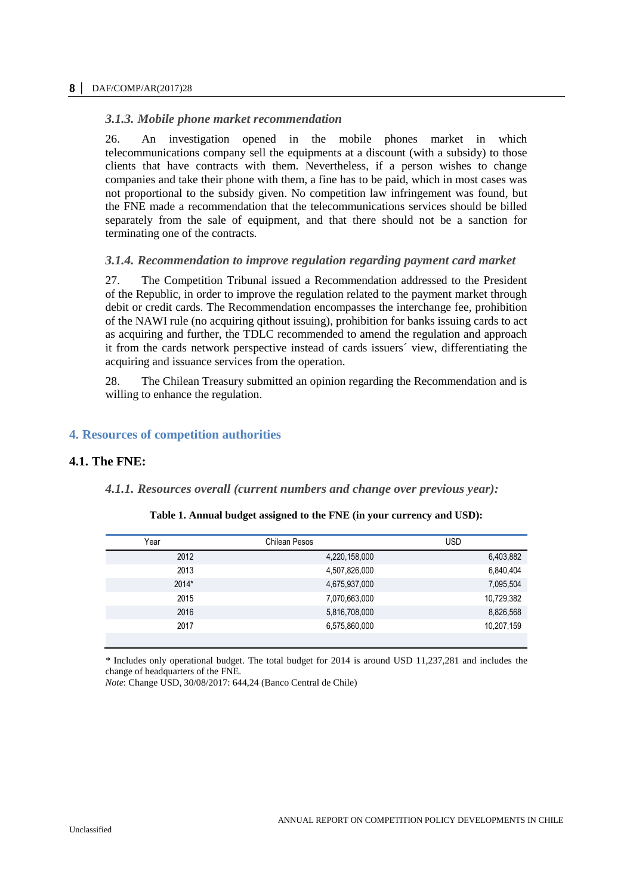# <span id="page-7-0"></span>*3.1.3. Mobile phone market recommendation*

26. An investigation opened in the mobile phones market in which telecommunications company sell the equipments at a discount (with a subsidy) to those clients that have contracts with them. Nevertheless, if a person wishes to change companies and take their phone with them, a fine has to be paid, which in most cases was not proportional to the subsidy given. No competition law infringement was found, but the FNE made a recommendation that the telecommunications services should be billed separately from the sale of equipment, and that there should not be a sanction for terminating one of the contracts.

# <span id="page-7-1"></span>*3.1.4. Recommendation to improve regulation regarding payment card market*

27. The Competition Tribunal issued a Recommendation addressed to the President of the Republic, in order to improve the regulation related to the payment market through debit or credit cards. The Recommendation encompasses the interchange fee, prohibition of the NAWI rule (no acquiring qithout issuing), prohibition for banks issuing cards to act as acquiring and further, the TDLC recommended to amend the regulation and approach it from the cards network perspective instead of cards issuers´ view, differentiating the acquiring and issuance services from the operation.

28. The Chilean Treasury submitted an opinion regarding the Recommendation and is willing to enhance the regulation.

# <span id="page-7-2"></span>**4. Resources of competition authorities**

# <span id="page-7-4"></span><span id="page-7-3"></span>**4.1. The FNE:**

### <span id="page-7-5"></span>*4.1.1. Resources overall (current numbers and change over previous year):*

#### **Table 1. Annual budget assigned to the FNE (in your currency and USD):**

| Year    | Chilean Pesos | <b>USD</b> |
|---------|---------------|------------|
| 2012    | 4,220,158,000 | 6,403,882  |
| 2013    | 4,507,826,000 | 6,840,404  |
| $2014*$ | 4,675,937,000 | 7,095,504  |
| 2015    | 7,070,663,000 | 10,729,382 |
| 2016    | 5,816,708,000 | 8,826,568  |
| 2017    | 6,575,860,000 | 10,207,159 |
|         |               |            |

*\** Includes only operational budget. The total budget for 2014 is around USD 11,237,281 and includes the change of headquarters of the FNE.

*Note*: Change USD, 30/08/2017: 644,24 (Banco Central de Chile)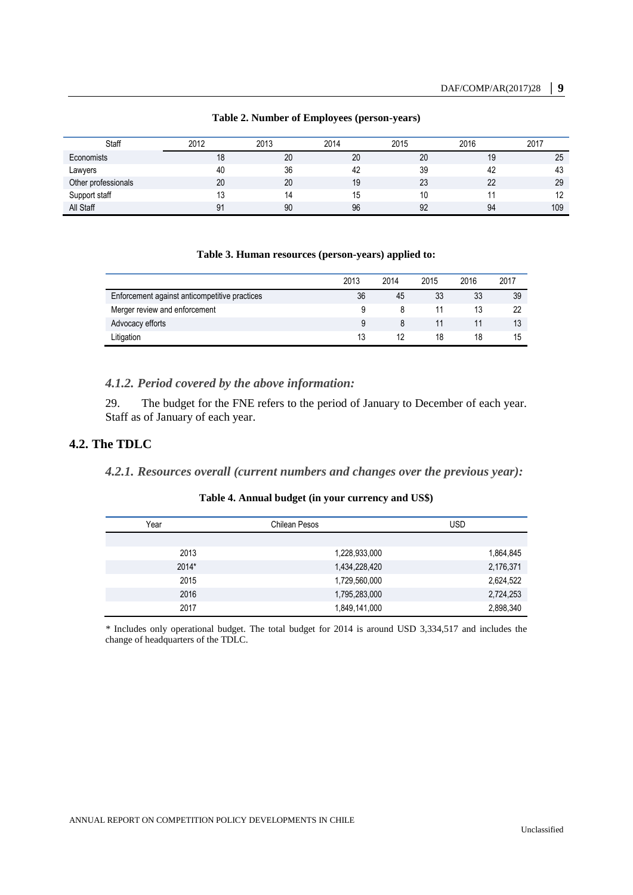<span id="page-8-3"></span>

| Staff               | 2012 | 2013 | 2014 | 2015 | 2016 | 2017 |
|---------------------|------|------|------|------|------|------|
| Economists          | 18   | 20   | 20   | 20   | 19   | 25   |
| Lawyers             | 40   | 36   | 42   | 39   | 42   | 43   |
| Other professionals | 20   | 20   | 19   | 23   | 22   | 29   |
| Support staff       | 13   | 14   | 15   | 10   |      |      |
| All Staff           | 91   | 90   | 96   | 92   | 94   | 109  |

### **Table 2. Number of Employees (person-years)**

#### **Table 3. Human resources (person-years) applied to:**

<span id="page-8-4"></span>

|                                               | 2013 | 2014 | 2015 | 2016 | 2017 |
|-----------------------------------------------|------|------|------|------|------|
| Enforcement against anticompetitive practices | 36   | 45   | 33   | 33   | 39   |
| Merger review and enforcement                 | a    |      |      |      | 22   |
| Advocacy efforts                              | 9    |      |      |      | 13   |
| Litigation                                    |      |      | 18   | 18   | 15   |

### <span id="page-8-0"></span>*4.1.2. Period covered by the above information:*

29. The budget for the FNE refers to the period of January to December of each year. Staff as of January of each year.

# <span id="page-8-2"></span><span id="page-8-1"></span>**4.2. The TDLC**

# <span id="page-8-5"></span>*4.2.1. Resources overall (current numbers and changes over the previous year):*

# **Table 4. Annual budget (in your currency and US\$)**

| Year    | Chilean Pesos | <b>USD</b> |
|---------|---------------|------------|
|         |               |            |
| 2013    | 1,228,933,000 | 1,864,845  |
| $2014*$ | 1,434,228,420 | 2,176,371  |
| 2015    | 1,729,560,000 | 2,624,522  |
| 2016    | 1,795,283,000 | 2,724,253  |
| 2017    | 1,849,141,000 | 2,898,340  |

*\** Includes only operational budget. The total budget for 2014 is around USD 3,334,517 and includes the change of headquarters of the TDLC.